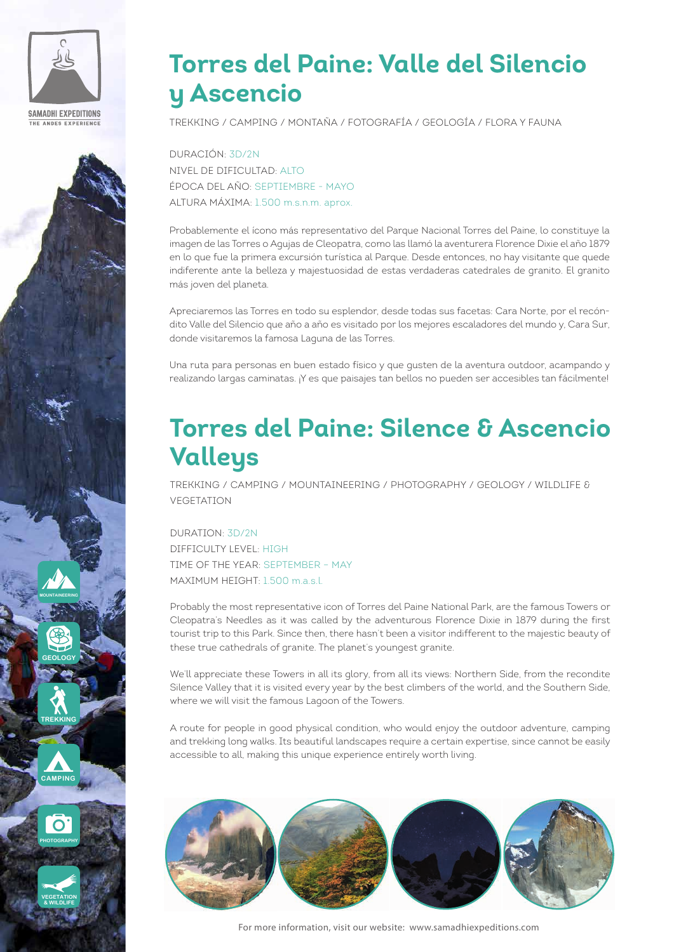

# **PHOTOGRAPHY GEOLOGY MOUNTAINEERING CAMPING TREKKING**

**VEGETATION & WILDLIFE**

# **Torres del Paine: Valle del Silencio y Ascencio**

TREKKING / CAMPING / MONTAÑA / FOTOGRAFÍA / GEOLOGÍA / FLORA Y FAUNA

DURACIÓN: 3D/2N NIVEL DE DIFICULTAD: ALTO ÉPOCA DEL AÑO: SEPTIEMBRE - MAYO ALTURA MÁXIMA: 1.500 m.s.n.m. aprox.

Probablemente el ícono más representativo del Parque Nacional Torres del Paine, lo constituye la imagen de las Torres o Agujas de Cleopatra, como las llamó la aventurera Florence Dixie el año 1879 en lo que fue la primera excursión turística al Parque. Desde entonces, no hay visitante que quede indiferente ante la belleza y majestuosidad de estas verdaderas catedrales de granito. El granito más joven del planeta.

Apreciaremos las Torres en todo su esplendor, desde todas sus facetas: Cara Norte, por el recóndito Valle del Silencio que año a año es visitado por los mejores escaladores del mundo y, Cara Sur, donde visitaremos la famosa Laguna de las Torres.

Una ruta para personas en buen estado físico y que gusten de la aventura outdoor, acampando y realizando largas caminatas. ¡Y es que paisajes tan bellos no pueden ser accesibles tan fácilmente!

# **Torres del Paine: Silence & Ascencio Valleys**

TREKKING / CAMPING / MOUNTAINEERING / PHOTOGRAPHY / GEOLOGY / WILDLIFE & VEGETATION

### DURATION: 3D/2N

DIFFICULTY LEVEL: HIGH TIME OF THE YEAR: SEPTEMBER – MAY MAXIMUM HFIGHT: 1.500 m a.s.l.

Probably the most representative icon of Torres del Paine National Park, are the famous Towers or Cleopatra's Needles as it was called by the adventurous Florence Dixie in 1879 during the first tourist trip to this Park. Since then, there hasn't been a visitor indifferent to the majestic beauty of these true cathedrals of granite. The planet's youngest granite.

We'll appreciate these Towers in all its glory, from all its views: Northern Side, from the recondite Silence Valley that it is visited every year by the best climbers of the world, and the Southern Side, where we will visit the famous Lagoon of the Towers.

A route for people in good physical condition, who would enjoy the outdoor adventure, camping and trekking long walks. Its beautiful landscapes require a certain expertise, since cannot be easily accessible to all, making this unique experience entirely worth living.



For more information, visit our website: www.samadhiexpeditions.com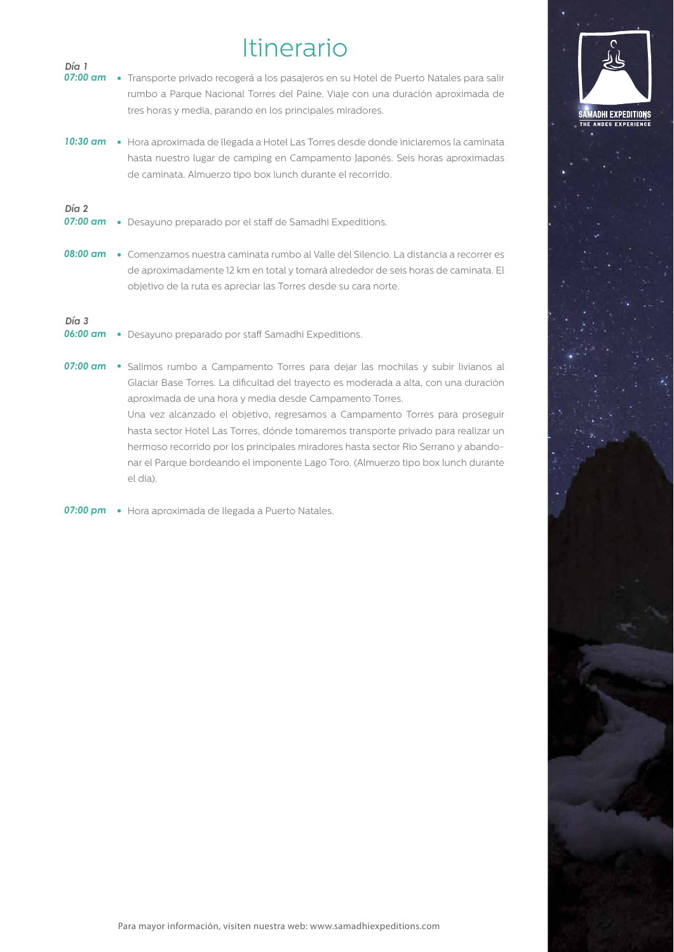# Itinerario

**AADHI EXPEDITIONS** 

| Día 1<br>$07:00$ am                      | • Transporte privado recogerá a los pasajeros en su Hotel de Puerto Natales para salir<br>rumbo a Parque Nacional Torres del Paine. Viaje con una duración aproximada de<br>tres horas y media, parando en los principales miradores.          |
|------------------------------------------|------------------------------------------------------------------------------------------------------------------------------------------------------------------------------------------------------------------------------------------------|
| $10:30$ am                               | · Hora aproximada de llegada a Hotel Las Torres desde donde iniciaremos la caminata<br>hasta nuestro lugar de camping en Campamento Japonés. Seis horas aproximadas<br>de caminata. Almuerzo tipo box lunch durante el recorrido.              |
| Día <sub>2</sub><br>$07:00 \text{ cm}$   | • Desayuno preparado por el staff de Samadhi Expeditions.                                                                                                                                                                                      |
| $08:00 \text{ cm}$                       | • Comenzamos nuestra caminata rumbo al Valle del Silencio. La distancia a recorrer es<br>de aproximadamente 12 km en total y tomará alrededor de seis horas de caminata. El<br>objetivo de la ruta es apreciar las Torres desde su cara norte. |
| Día <sub>1</sub> 3<br>$06:00 \text{ cm}$ | • Desayuno preparado por staff Samadhi Expeditions.                                                                                                                                                                                            |
| $07:00 \text{ cm}$                       | • Salimos rumbo a Campamento Torres para dejar las mochilas y subir livianos al                                                                                                                                                                |

Glaciar Base Torres. La dificultad del trayecto es moderada a alta, con una duración aproximada de una hora y media desde Campamento Torres. Una vez alcanzado el objetivo, regresamos a Campamento Torres para proseguir hasta sector Hotel Las Torres, dónde tomaremos transporte privado para realizar un hermoso recorrido por los principales miradores hasta sector Rio Serrano y abandonar el Parque bordeando el imponente Lago Toro. (Almuerzo tipo box lunch durante el día).

*07:00 pm* Hora aproximada de llegada a Puerto Natales.